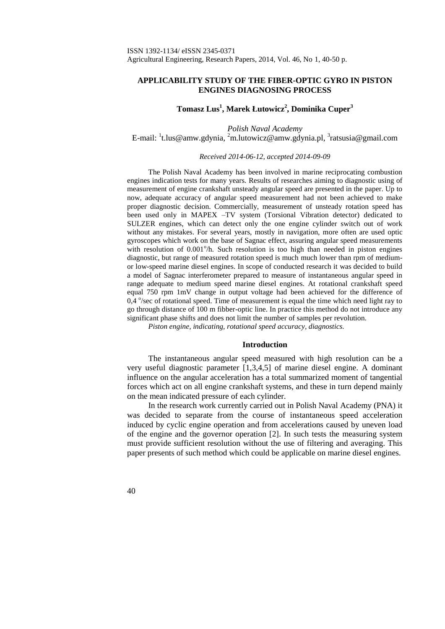# **APPLICABILITY STUDY OF THE FIBER-OPTIC GYRO IN PISTON ENGINES DIAGNOSING PROCESS**

# **Tomasz Lus<sup>1</sup> , Marek Łutowicz<sup>2</sup> , Dominika Cuper<sup>3</sup>**

*Polish Naval Academy* E-mail: <sup>1</sup>[t.lus@amw.gdynia,](mailto:t.lus@amw.gdynia) <sup>2</sup>[m.lutowicz@amw.gdynia.pl,](mailto:m.lutowicz@amw.gdynia.pl) <sup>3</sup>[ratsusia@gmail.com](mailto:ratsusia@gmail.com)

*Received 2014-06-12, accepted 2014-09-09*

The Polish Naval Academy has been involved in marine reciprocating combustion engines indication tests for many years. Results of researches aiming to diagnostic using of measurement of engine crankshaft unsteady angular speed are presented in the paper. Up to now, adequate accuracy of angular speed measurement had not been achieved to make proper diagnostic decision. Commercially, measurement of unsteady rotation speed has been used only in MAPEX –TV system (Torsional Vibration detector) dedicated to SULZER engines, which can detect only the one engine cylinder switch out of work without any mistakes. For several years, mostly in navigation, more often are used optic gyroscopes which work on the base of Sagnac effect, assuring angular speed measurements with resolution of 0.001<sup>°</sup>/h. Such resolution is too high than needed in piston engines diagnostic, but range of measured rotation speed is much much lower than rpm of mediumor low-speed marine diesel engines. In scope of conducted research it was decided to build a model of Sagnac interferometer prepared to measure of instantaneous angular speed in range adequate to medium speed marine diesel engines. At rotational crankshaft speed equal 750 rpm 1mV change in output voltage had been achieved for the difference of 0,4 °/sec of rotational speed. Time of measurement is equal the time which need light ray to go through distance of 100 m fibber-optic line. In practice this method do not introduce any significant phase shifts and does not limit the number of samples per revolution.

*Piston engine, indicating, rotational speed accuracy, diagnostics.*

## **Introduction**

The instantaneous angular speed measured with high resolution can be a very useful diagnostic parameter [1,3,4,5] of marine diesel engine. A dominant influence on the angular acceleration has a total summarized moment of tangential forces which act on all engine crankshaft systems, and these in turn depend mainly on the mean indicated pressure of each cylinder.

In the research work currently carried out in Polish Naval Academy (PNA) it was decided to separate from the course of instantaneous speed acceleration induced by cyclic engine operation and from accelerations caused by uneven load of the engine and the governor operation [2]. In such tests the measuring system must provide sufficient resolution without the use of filtering and averaging. This paper presents of such method which could be applicable on marine diesel engines.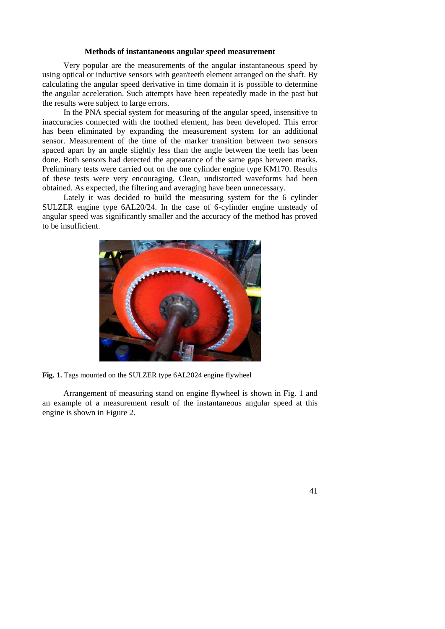## **Methods of instantaneous angular speed measurement**

Very popular are the measurements of the angular instantaneous speed by using optical or inductive sensors with gear/teeth element arranged on the shaft. By calculating the angular speed derivative in time domain it is possible to determine the angular acceleration. Such attempts have been repeatedly made in the past but the results were subject to large errors.

In the PNA special system for measuring of the angular speed, insensitive to inaccuracies connected with the toothed element, has been developed. This error has been eliminated by expanding the measurement system for an additional sensor. Measurement of the time of the marker transition between two sensors spaced apart by an angle slightly less than the angle between the teeth has been done. Both sensors had detected the appearance of the same gaps between marks. Preliminary tests were carried out on the one cylinder engine type KM170. Results of these tests were very encouraging. Clean, undistorted waveforms had been obtained. As expected, the filtering and averaging have been unnecessary.

Lately it was decided to build the measuring system for the 6 cylinder SULZER engine type 6AL20/24. In the case of 6-cylinder engine unsteady of angular speed was significantly smaller and the accuracy of the method has proved to be insufficient.



**Fig. 1.** Tags mounted on the SULZER type 6AL2024 engine flywheel

Arrangement of measuring stand on engine flywheel is shown in Fig. 1 and an example of a measurement result of the instantaneous angular speed at this engine is shown in Figure 2.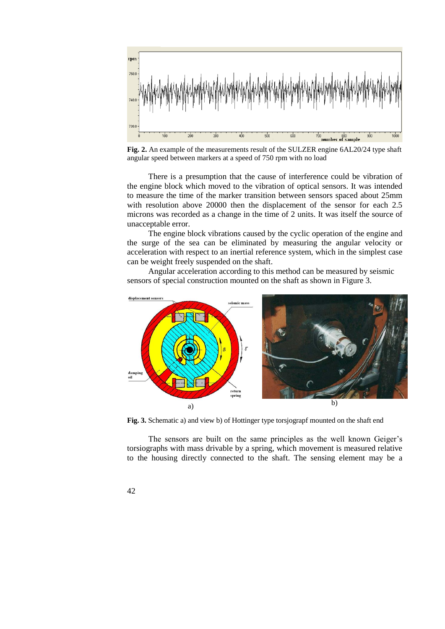

**Fig. 2.** An example of the measurements result of the SULZER engine 6AL20/24 type shaft angular speed between markers at a speed of 750 rpm with no load

There is a presumption that the cause of interference could be vibration of the engine block which moved to the vibration of optical sensors. It was intended to measure the time of the marker transition between sensors spaced about 25mm with resolution above 20000 then the displacement of the sensor for each 2.5 microns was recorded as a change in the time of 2 units. It was itself the source of unacceptable error.

The engine block vibrations caused by the cyclic operation of the engine and the surge of the sea can be eliminated by measuring the angular velocity or acceleration with respect to an inertial reference system, which in the simplest case can be weight freely suspended on the shaft.

Angular acceleration according to this method can be measured by seismic sensors of special construction mounted on the shaft as shown in Figure 3.



**Fig. 3.** Schematic a) and view b) of Hottinger type torsjograpf mounted on the shaft end

The sensors are built on the same principles as the well known Geiger's torsiographs with mass drivable by a spring, which movement is measured relative to the housing directly connected to the shaft. The sensing element may be a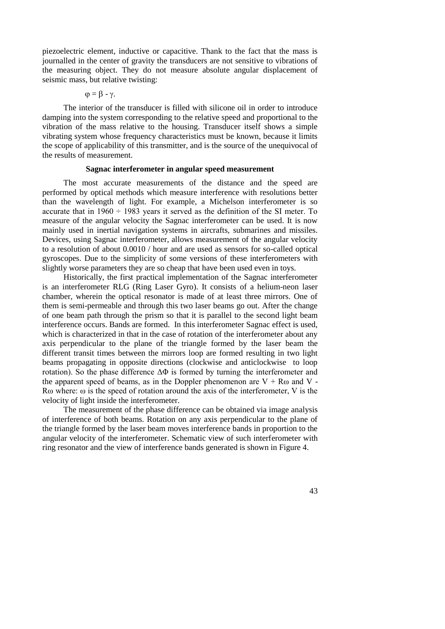piezoelectric element, inductive or capacitive. Thank to the fact that the mass is journalled in the center of gravity the transducers are not sensitive to vibrations of the measuring object. They do not measure absolute angular displacement of seismic mass, but relative twisting:

$$
\phi=\beta-\gamma.
$$

The interior of the transducer is filled with silicone oil in order to introduce damping into the system corresponding to the relative speed and proportional to the vibration of the mass relative to the housing. Transducer itself shows a simple vibrating system whose frequency characteristics must be known, because it limits the scope of applicability of this transmitter, and is the source of the unequivocal of the results of measurement.

#### **Sagnac interferometer in angular speed measurement**

The most accurate measurements of the distance and the speed are performed by optical methods which measure interference with resolutions better than the wavelength of light. For example, a Michelson interferometer is so accurate that in  $1960 \div 1983$  years it served as the definition of the SI meter. To measure of the angular velocity the Sagnac interferometer can be used. It is now mainly used in inertial navigation systems in aircrafts, submarines and missiles. Devices, using Sagnac interferometer, allows measurement of the angular velocity to a resolution of about 0.0010 / hour and are used as sensors for so-called optical gyroscopes. Due to the simplicity of some versions of these interferometers with slightly worse parameters they are so cheap that have been used even in toys.

Historically, the first practical implementation of the Sagnac interferometer is an interferometer RLG (Ring Laser Gyro). It consists of a helium-neon laser chamber, wherein the optical resonator is made of at least three mirrors. One of them is semi-permeable and through this two laser beams go out. After the change of one beam path through the prism so that it is parallel to the second light beam interference occurs. Bands are formed. In this interferometer Sagnac effect is used, which is characterized in that in the case of rotation of the interferometer about any axis perpendicular to the plane of the triangle formed by the laser beam the different transit times between the mirrors loop are formed resulting in two light beams propagating in opposite directions (clockwise and anticlockwise to loop rotation). So the phase difference  $\Delta \Phi$  is formed by turning the interferometer and the apparent speed of beams, as in the Doppler phenomenon are  $V + R\omega$  and V -Rω where: ω is the speed of rotation around the axis of the interferometer, V is the velocity of light inside the interferometer.

The measurement of the phase difference can be obtained via image analysis of interference of both beams. Rotation on any axis perpendicular to the plane of the triangle formed by the laser beam moves interference bands in proportion to the angular velocity of the interferometer. Schematic view of such interferometer with ring resonator and the view of interference bands generated is shown in Figure 4.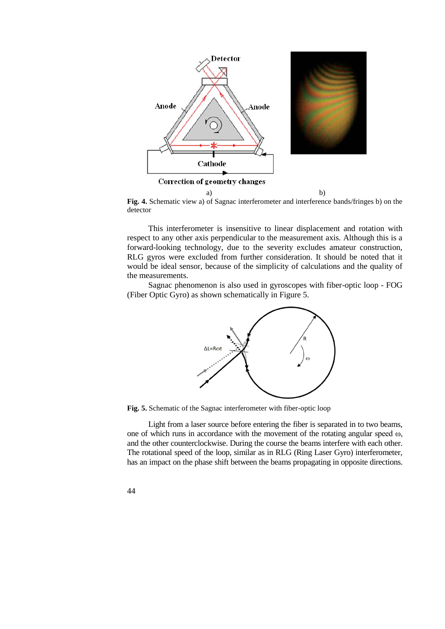

**Fig. 4.** Schematic view a) of Sagnac interferometer and interference bands/fringes b) on the detector

This interferometer is insensitive to linear displacement and rotation with respect to any other axis perpendicular to the measurement axis. Although this is a forward-looking technology, due to the severity excludes amateur construction, RLG gyros were excluded from further consideration. It should be noted that it would be ideal sensor, because of the simplicity of calculations and the quality of the measurements.

Sagnac phenomenon is also used in gyroscopes with fiber-optic loop - FOG (Fiber Optic Gyro) as shown schematically in Figure 5.



**Fig. 5.** Schematic of the Sagnac interferometer with fiber-optic loop

Light from a laser source before entering the fiber is separated in to two beams, one of which runs in accordance with the movement of the rotating angular speed  $\omega$ , and the other counterclockwise. During the course the beams interfere with each other. The rotational speed of the loop, similar as in RLG (Ring Laser Gyro) interferometer, has an impact on the phase shift between the beams propagating in opposite directions.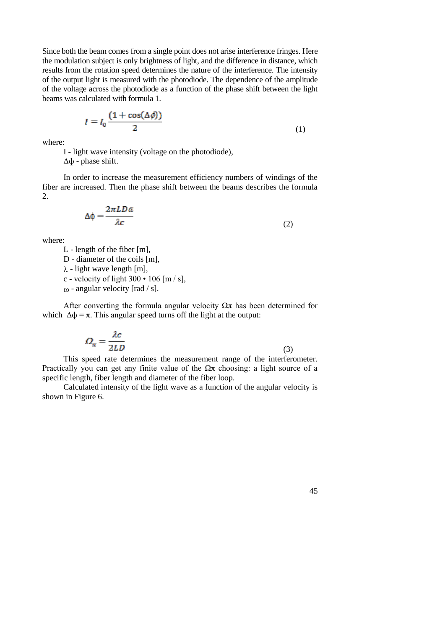Since both the beam comes from a single point does not arise interference fringes. Here the modulation subject is only brightness of light, and the difference in distance, which results from the rotation speed determines the nature of the interference. The intensity of the output light is measured with the photodiode. The dependence of the amplitude of the voltage across the photodiode as a function of the phase shift between the light beams was calculated with formula 1.

$$
I = I_0 \frac{(1 + \cos(\Delta \phi))}{2} \tag{1}
$$

where:

I - light wave intensity (voltage on the photodiode),

 $ΔΦ$  - phase shift.

In order to increase the measurement efficiency numbers of windings of the fiber are increased. Then the phase shift between the beams describes the formula 2.

$$
\Delta \phi = \frac{2\pi L D \omega}{\lambda c} \tag{2}
$$

where:

L - length of the fiber [m],

D - diameter of the coils [m],

 $\lambda$  - light wave length [m],

c - velocity of light  $300 \cdot 106$  [m / s],

 $\omega$  - angular velocity [rad / s].

After converting the formula angular velocity  $\Omega \pi$  has been determined for which  $\Delta \phi = \pi$ . This angular speed turns off the light at the output:

$$
\Omega_{\pi} = \frac{\lambda c}{2LD} \tag{3}
$$

This speed rate determines the measurement range of the interferometer. Practically you can get any finite value of the  $\Omega$ π choosing: a light source of a specific length, fiber length and diameter of the fiber loop.

Calculated intensity of the light wave as a function of the angular velocity is shown in Figure 6.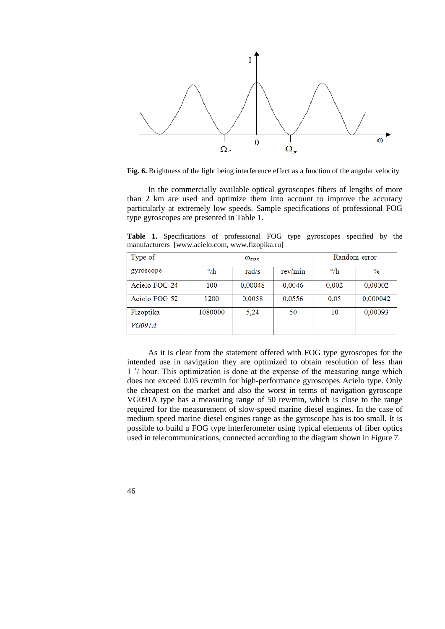

**Fig. 6.** Brightness of the light being interference effect as a function of the angular velocity

In the commercially available optical gyroscopes fibers of lengths of more than 2 km are used and optimize them into account to improve the accuracy particularly at extremely low speeds. Sample specifications of professional FOG type gyroscopes are presented in Table 1.

**Table 1.** Specifications of professional FOG type gyroscopes specified by the manufacturers [www.acielo.com, [www.fizopika.ru\]](http://www.fizopika.ru/)

| Type of       | $\omega_{\text{max}}$ |         |         | Random error |          |
|---------------|-----------------------|---------|---------|--------------|----------|
| gyroscope     | $\circ$ /h            | rad/s   | rev/min | $\circ$ /h   | $\%$     |
| Acielo FOG 24 | 100                   | 0,00048 | 0,0046  | 0,002        | 0,00002  |
| Acielo FOG 52 | 1200                  | 0,0058  | 0,0556  | 0,05         | 0,000042 |
| Fizoptika     | 1080000               | 5,24    | 50      | 10           | 0,00093  |
| <i>VG091A</i> |                       |         |         |              |          |

As it is clear from the statement offered with FOG type gyroscopes for the intended use in navigation they are optimized to obtain resolution of less than 1 ˚/ hour. This optimization is done at the expense of the measuring range which does not exceed 0.05 rev/min for high-performance gyroscopes Acielo type. Only the cheapest on the market and also the worst in terms of navigation gyroscope VG091A type has a measuring range of 50 rev/min, which is close to the range required for the measurement of slow-speed marine diesel engines. In the case of medium speed marine diesel engines range as the gyroscope has is too small. It is possible to build a FOG type interferometer using typical elements of fiber optics used in telecommunications, connected according to the diagram shown in Figure 7.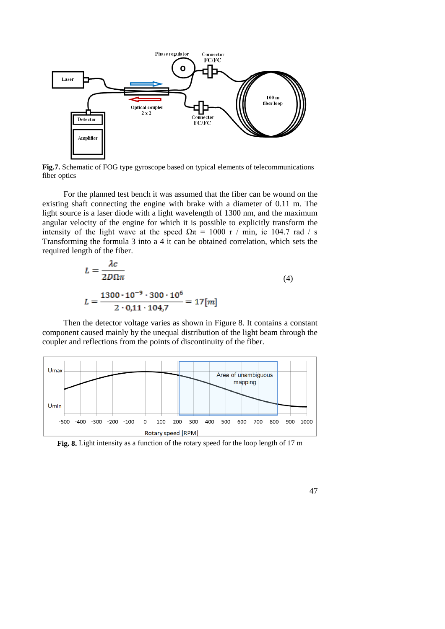

**Fig.7.** Schematic of FOG type gyroscope based on typical elements of telecommunications fiber optics

For the planned test bench it was assumed that the fiber can be wound on the existing shaft connecting the engine with brake with a diameter of 0.11 m. The light source is a laser diode with a light wavelength of 1300 nm, and the maximum angular velocity of the engine for which it is possible to explicitly transform the intensity of the light wave at the speed  $\Omega \pi = 1000$  r / min, ie 104.7 rad / s Transforming the formula 3 into a 4 it can be obtained correlation, which sets the required length of the fiber.

$$
L = \frac{\lambda c}{2D\Omega\pi}
$$
\n
$$
L = \frac{1300 \cdot 10^{-9} \cdot 300 \cdot 10^{6}}{2 \cdot 0.11 \cdot 104.7} = 17[m]
$$
\n(4)

Then the detector voltage varies as shown in Figure 8. It contains a constant component caused mainly by the unequal distribution of the light beam through the coupler and reflections from the points of discontinuity of the fiber.



**Fig. 8.** Light intensity as a function of the rotary speed for the loop length of 17 m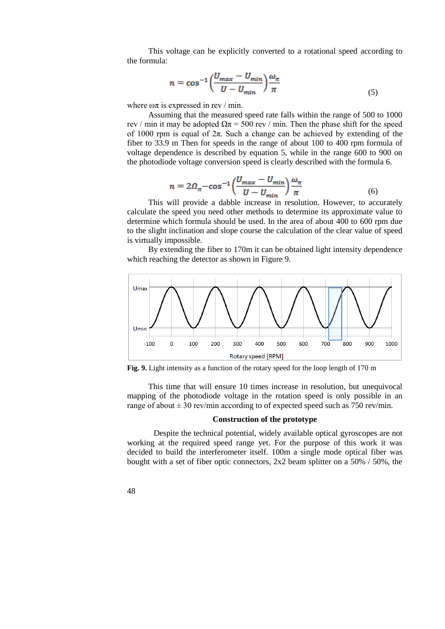This voltage can be explicitly converted to a rotational speed according to the formula:

$$
n = \cos^{-1}\left(\frac{U_{max} - U_{min}}{U - U_{min}}\right)\frac{\omega_{\pi}}{\pi}
$$
\n<sup>(5)</sup>

where  $\omega \pi$  is expressed in rev / min.

Assuming that the measured speed rate falls within the range of 500 to 1000 rev / min it may be adopted  $\Omega \pi = 500$  rev / min. Then the phase shift for the speed of 1000 rpm is equal of  $2\pi$ . Such a change can be achieved by extending of the fiber to 33.9 m Then for speeds in the range of about 100 to 400 rpm formula of voltage dependence is described by equation 5, while in the range 600 to 900 on the photodiode voltage conversion speed is clearly described with the formula 6.

$$
n = 2\Omega_{\pi} - \cos^{-1}\left(\frac{U_{max} - U_{min}}{U - U_{min}}\right)\frac{\omega_{\pi}}{\pi}
$$
(6)

This will provide a dabble increase in resolution. However, to accurately calculate the speed you need other methods to determine its approximate value to determine which formula should be used. In the area of about 400 to 600 rpm due to the slight inclination and slope course the calculation of the clear value of speed is virtually impossible.

By extending the fiber to 170m it can be obtained light intensity dependence which reaching the detector as shown in Figure 9.



**Fig. 9.** Light intensity as a function of the rotary speed for the loop length of 170 m

This time that will ensure 10 times increase in resolution, but unequivocal mapping of the photodiode voltage in the rotation speed is only possible in an range of about  $\pm 30$  rev/min according to of expected speed such as 750 rev/min.

# **Construction of the prototype**

Despite the technical potential, widely available optical gyroscopes are not working at the required speed range yet. For the purpose of this work it was decided to build the interferometer itself. 100m a single mode optical fiber was bought with a set of fiber optic connectors,  $2x2$  beam splitter on a 50% / 50%, the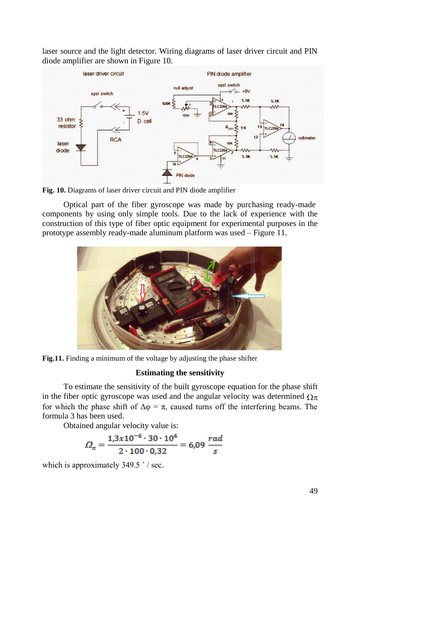laser source and the light detector. Wiring diagrams of laser driver circuit and PIN diode amplifier are shown in Figure 10.



**Fig. 10.** Diagrams of laser driver circuit and PIN diode amplifier

Optical part of the fiber gyroscope was made by purchasing ready-made components by using only simple tools. Due to the lack of experience with the construction of this type of fiber optic equipment for experimental purposes in the prototype assembly ready-made aluminum platform was used – Figure 11.



**Fig.11.** Finding a minimum of the voltage by adjusting the phase shifter

# **Estimating the sensitivity**

To estimate the sensitivity of the built gyroscope equation for the phase shift in the fiber optic gyroscope was used and the angular velocity was determined  $\Omega_{\pi}$ for which the phase shift of  $\Delta \varphi = \pi$ , caused turns off the interfering beams. The formula 3 has been used.

Obtained angular velocity value is:

$$
\varOmega_{\pi} = \frac{1,3x10^{-6} \cdot 30 \cdot 10^{6}}{2 \cdot 100 \cdot 0,32} = 6,09 \frac{rad}{s}
$$

which is approximately 349.5 ° / sec.